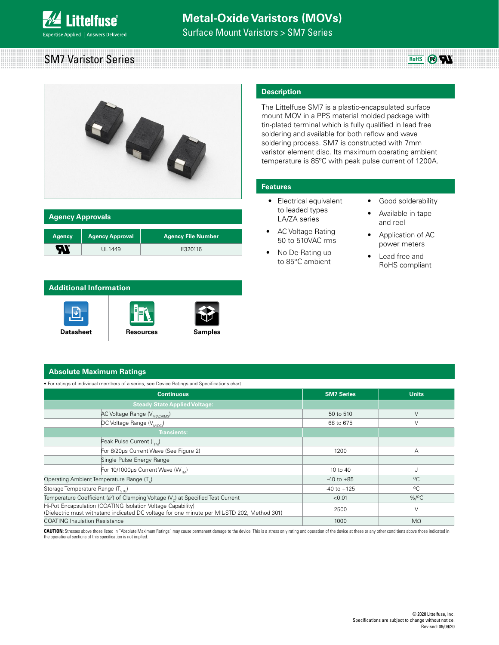

Surface Mount Varistors > SM7 Series

#### **RoHS** *C***<sub>0</sub>
<b>C**<sub>1</sub></sub> SM7 Varistor Series



| <b>Agency Approvals</b> |                        |                           |  |  |
|-------------------------|------------------------|---------------------------|--|--|
| <b>Agency</b>           | <b>Agency Approval</b> | <b>Agency File Number</b> |  |  |
| av.                     | UL1449                 | E320116                   |  |  |

#### **Additional Information**



## **Description**

The Littelfuse SM7 is a plastic-encapsulated surface mount MOV in a PPS material molded package with tin-plated terminal which is fully qualified in lead free soldering and available for both reflow and wave soldering process. SM7 is constructed with 7mm varistor element disc. Its maximum operating ambient temperature is 85ºC with peak pulse current of 1200A.

#### **Features**

- Electrical equivalent to leaded types LA/ZA series
- AC Voltage Rating 50 to 510VAC rms
- No De-Rating up to 85°C ambient
- Good solderability
- Available in tape and reel
- Application of AC power meters
- Lead free and RoHS compliant

#### **Absolute Maximum Ratings**

• For ratings of individual members of a series, see Device Ratings and Specifications chart

| <b>Continuous</b>                                                                                                                                          | <b>SM7 Series</b> | <b>Units</b>         |
|------------------------------------------------------------------------------------------------------------------------------------------------------------|-------------------|----------------------|
| <b>Steady State Applied Voltage:</b>                                                                                                                       |                   |                      |
| AC Voltage Range (V <sub>M(AC)RMS</sub> )                                                                                                                  | 50 to 510         | $\vee$               |
| DC Voltage Range (V <sub>MDC</sub> )                                                                                                                       | 68 to 675         | V                    |
| <b>Transients:</b>                                                                                                                                         |                   |                      |
| Peak Pulse Current (I <sub>n</sub> )                                                                                                                       |                   |                      |
| For 8/20us Current Wave (See Figure 2)                                                                                                                     | 1200              | A                    |
| Single Pulse Energy Range                                                                                                                                  |                   |                      |
| For 10/1000µs Current Wave ( $W_{TM}$ )                                                                                                                    | 10 to 40          |                      |
| Operating Ambient Temperature Range (T <sub>a</sub> )                                                                                                      | $-40$ to $+85$    | $^{\circ}$ C         |
| Storage Temperature Range (T <sub>erc</sub> )                                                                                                              | $-40$ to $+125$   | $^{\circ}$ C         |
| Temperature Coefficient (a <sup>v</sup> ) of Clamping Voltage ( $V_c$ ) at Specified Test Current                                                          | < 0.01            | $%$ / <sup>o</sup> C |
| Hi-Pot Encapsulation (COATING Isolation Voltage Capability)<br>(Dielectric must withstand indicated DC voltage for one minute per MIL-STD 202, Method 301) | 2500              | $\vee$               |
| <b>COATING Insulation Resistance</b>                                                                                                                       | 1000              | $M\Omega$            |

CAUTION: Stresses above those listed in "Absolute Maximum Ratings" may cause permanent damage to the device. This is a stress only rating and operation of the device at these or any other conditions above those indicated i the operational sections of this specification is not implied.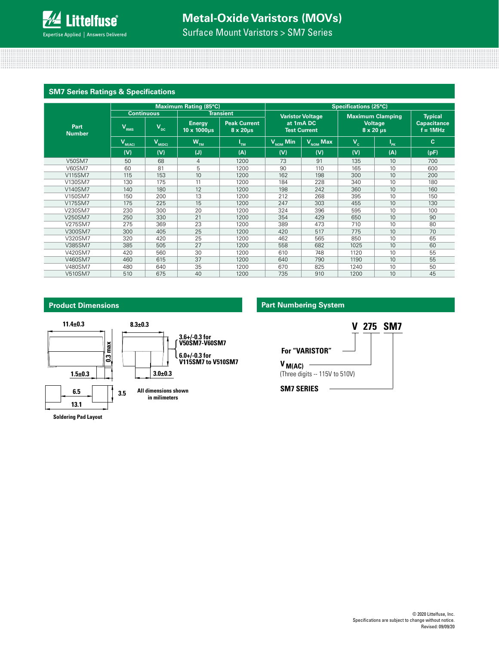

Surface Mount Varistors > SM7 Series

### **SM7 Series Ratings & Specifications**

|                       | <b>Maximum Rating (85°C)</b> |                   |                              | <b>Specifications (25°C)</b>               |                                                 |                                  |       |                                                     |                                   |
|-----------------------|------------------------------|-------------------|------------------------------|--------------------------------------------|-------------------------------------------------|----------------------------------|-------|-----------------------------------------------------|-----------------------------------|
|                       |                              | <b>Continuous</b> |                              | <b>Transient</b>                           |                                                 | <b>Varistor Voltage</b>          |       | <b>Maximum Clamping</b>                             | <b>Typical</b>                    |
| Part<br><b>Number</b> | $V_{RMS}$                    | $V_{\rm{bc}}$     | <b>Energy</b><br>10 x 1000us | <b>Peak Current</b><br>$8 \times 20 \mu s$ |                                                 | at 1mA DC<br><b>Test Current</b> |       | <b>Voltage</b><br>$8 \times 20 \text{ }\mu\text{s}$ | <b>Capacitance</b><br>$f = 1$ MHz |
|                       | $V_{M(AC)}$                  | $V_{M(DC)}$       | $W_{TM}$                     | "TM                                        | $\overline{V_{\scriptscriptstyle \sf NOM}}$ Min | $V_{NOM}$ Max                    | $V_c$ | $I_{PK}$                                            | C.                                |
|                       | (V)                          | (V)               | (J)                          | (A)                                        | (V)                                             | (V)                              | (V)   | (A)                                                 | (pF)                              |
| <b>V50SM7</b>         | 50                           | 68                | $\overline{4}$               | 1200                                       | 73                                              | 91                               | 135   | 10                                                  | 700                               |
| <b>V60SM7</b>         | 60                           | 81                | 5                            | 1200                                       | 90                                              | 110                              | 165   | 10                                                  | 600                               |
| V115SM7               | 115                          | 153               | 10                           | 1200                                       | 162                                             | 198                              | 300   | 10                                                  | 200                               |
| V130SM7               | 130                          | 175               | 11                           | 1200                                       | 184                                             | 228                              | 340   | 10                                                  | 180                               |
| V140SM7               | 140                          | 180               | 12                           | 1200                                       | 198                                             | 242                              | 360   | 10                                                  | 160                               |
| V150SM7               | 150                          | 200               | 13                           | 1200                                       | 212                                             | 268                              | 395   | 10                                                  | 150                               |
| V175SM7               | 175                          | 225               | 15                           | 1200                                       | 247                                             | 303                              | 455   | 10                                                  | 130                               |
| V230SM7               | 230                          | 300               | 20                           | 1200                                       | 324                                             | 396                              | 595   | 10                                                  | 100                               |
| V250SM7               | 250                          | 330               | 21                           | 1200                                       | 354                                             | 429                              | 650   | 10                                                  | 90                                |
| V275SM7               | 275                          | 369               | 23                           | 1200                                       | 389                                             | 473                              | 710   | 10                                                  | 80                                |
| V300SM7               | 300                          | 405               | 25                           | 1200                                       | 420                                             | 517                              | 775   | 10                                                  | 70                                |
| V320SM7               | 320                          | 420               | 25                           | 1200                                       | 462                                             | 565                              | 850   | 10                                                  | 65                                |
| V385SM7               | 385                          | 505               | 27                           | 1200                                       | 558                                             | 682                              | 1025  | 10                                                  | 60                                |
| V420SM7               | 420                          | 560               | 30                           | 1200                                       | 610                                             | 748                              | 1120  | 10                                                  | 55                                |
| V460SM7               | 460                          | 615               | 37                           | 1200                                       | 640                                             | 790                              | 1190  | 10                                                  | 55                                |
| V480SM7               | 480                          | 640               | 35                           | 1200                                       | 670                                             | 825                              | 1240  | 10                                                  | 50                                |
| V510SM7               | 510                          | 675               | 40                           | 1200                                       | 735                                             | 910                              | 1200  | 10                                                  | 45                                |

### **Product Dimensions**





### **Part Numbering System**

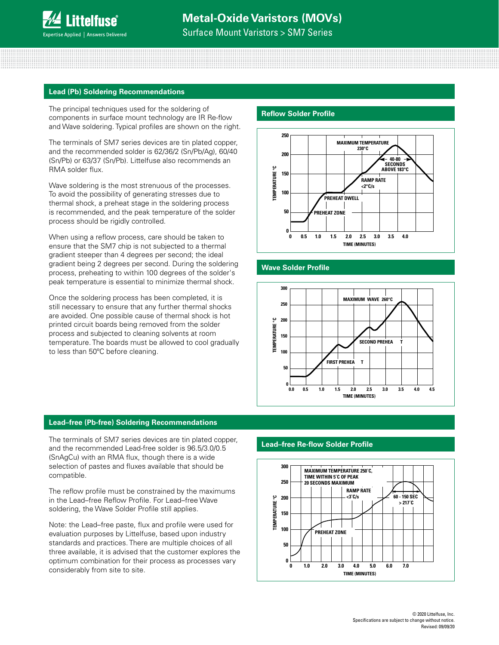Surface Mount Varistors > SM7 Series

#### **Lead (Pb) Soldering Recommendations**

The principal techniques used for the soldering of components in surface mount technology are IR Re-flow and Wave soldering. Typical profiles are shown on the right.

The terminals of SM7 series devices are tin plated copper, and the recommended solder is 62/36/2 (Sn/Pb/Ag), 60/40 (Sn/Pb) or 63/37 (Sn/Pb). Littelfuse also recommends an RMA solder flux.

Wave soldering is the most strenuous of the processes. To avoid the possibility of generating stresses due to thermal shock, a preheat stage in the soldering process is recommended, and the peak temperature of the solder process should be rigidly controlled.

When using a reflow process, care should be taken to ensure that the SM7 chip is not subjected to a thermal gradient steeper than 4 degrees per second; the ideal gradient being 2 degrees per second. During the soldering process, preheating to within 100 degrees of the solder's peak temperature is essential to minimize thermal shock.

Once the soldering process has been completed, it is still necessary to ensure that any further thermal shocks are avoided. One possible cause of thermal shock is hot printed circuit boards being removed from the solder process and subjected to cleaning solvents at room temperature. The boards must be allowed to cool gradually to less than 50ºC before cleaning.

#### **Reflow Solder Profile**



### **Wave Solder Profile**



**FIGURE 15. WAVE SOLDER PR OFILE**

#### **Lead–free (Pb-free) Soldering Recommendations**

The terminals of SM7 series devices are tin plated copper, and the recommended Lead-free solder is 96.5/3.0/0.5 (SnAgCu) with an RMA flux, though there is a wide selection of pastes and fluxes available that should be compatible.

The reflow profile must be constrained by the maximums in the Lead–free Reflow Profile. For Lead–free Wave soldering, the Wave Solder Profile still applies.

Note: the Lead–free paste, flux and profile were used for evaluation purposes by Littelfuse, based upon industry standards and practices. There are multiple choices of all three available, it is advised that the customer explores the optimum combination for their process as processes vary considerably from site to site.

#### **300 Lead–free Re-flow Solder Profile**

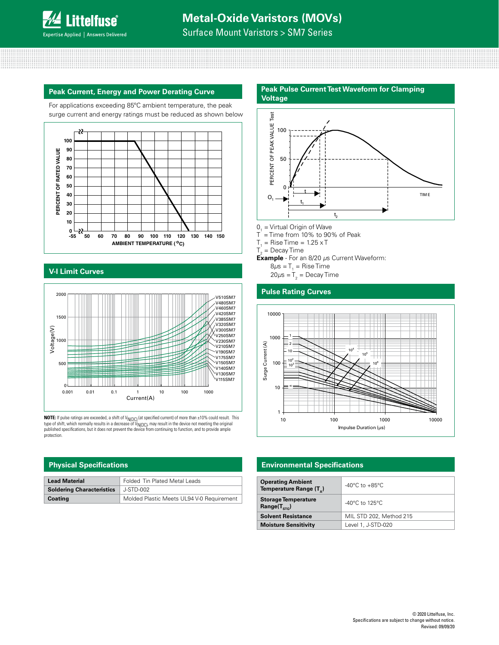

Surface Mount Varistors > SM7 Series

#### **Peak Current, Energy and Power Derating Curve**

For applications exceeding 85ºC ambient temperature, the peak surge current and energy ratings must be reduced as shown below



# **CURVE V-I Limit Curves**



**NOTE:** If pulse ratings are exceeded, a shift of V<sub>N(DC)</sub> (at specified current) of more than ±10% could result. This<br>type of shift, which normally results in a decrease of V<sub>N(DC)</sub>, may result in the device not meeting t protection.

| <b>Lead Material</b>             | <b>Folded Tin Plated Metal Leads</b>      |
|----------------------------------|-------------------------------------------|
| <b>Soldering Characteristics</b> | J-STD-002                                 |
| Coating                          | Molded Plastic Meets UL94 V-0 Requirement |

### **Peak Pulse Current Test Waveform for Clamping**



- $0<sub>1</sub>$  = Virtual Origin of Wave
- $T =$  Time from 10% to 90% of Peak
- $T_{1}$  = Rise Time = 1.25 x T
- $T_{2}$  = Decay Time
- **Example**  For an 8/20 *µ*s Current Waveform:
	- 8 $\mu$ s = T<sub>1</sub> = Rise Time
	- 20 $\mu$ s = T<sub>2</sub> = Decay Time

#### **Pulse Rating Curves**



#### **Physical Specifications Environmental Specifications**

| <b>Operating Ambient</b><br>Temperature Range (T <sub>a</sub> ) | $-40^{\circ}$ C to $+85^{\circ}$ C  |  |  |
|-----------------------------------------------------------------|-------------------------------------|--|--|
| <b>Storage Temperature</b><br>Range $(T_{src})$                 | $-40^{\circ}$ C to 125 $^{\circ}$ C |  |  |
| <b>Solvent Resistance</b>                                       | MIL STD 202, Method 215             |  |  |
| <b>Moisture Sensitivity</b>                                     | Level 1, J-STD-020                  |  |  |
|                                                                 |                                     |  |  |